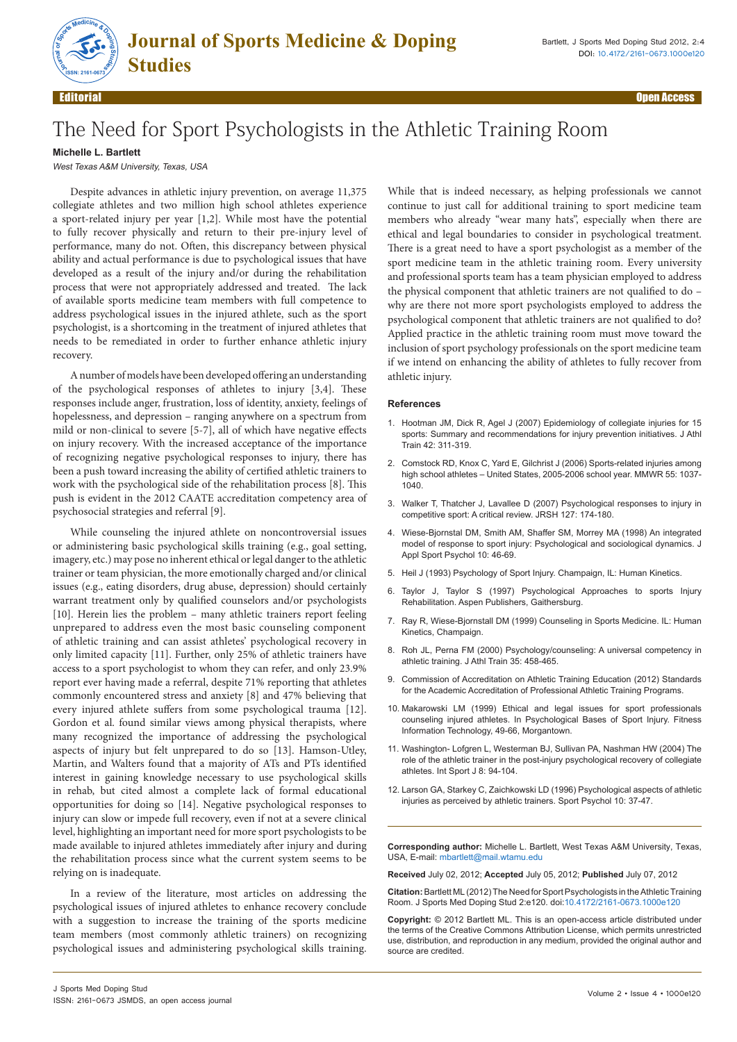

Editorial Open Access

## The Need for Sport Psychologists in the Athletic Training Room

## **Michelle L. Bartlett**

West Texas A&M University, Texas, USA

Despite advances in athletic injury prevention, on average 11,375 collegiate athletes and two million high school athletes experience a sport-related injury per year [1,2]. While most have the potential to fully recover physically and return to their pre-injury level of performance, many do not. Often, this discrepancy between physical ability and actual performance is due to psychological issues that have developed as a result of the injury and/or during the rehabilitation process that were not appropriately addressed and treated. The lack of available sports medicine team members with full competence to address psychological issues in the injured athlete, such as the sport psychologist, is a shortcoming in the treatment of injured athletes that needs to be remediated in order to further enhance athletic injury recovery.

A number of models have been developed offering an understanding of the psychological responses of athletes to injury [3,4]. These responses include anger, frustration, loss of identity, anxiety, feelings of hopelessness, and depression – ranging anywhere on a spectrum from mild or non-clinical to severe [5-7], all of which have negative effects on injury recovery. With the increased acceptance of the importance of recognizing negative psychological responses to injury, there has been a push toward increasing the ability of certified athletic trainers to work with the psychological side of the rehabilitation process [8]. This push is evident in the 2012 CAATE accreditation competency area of psychosocial strategies and referral [9].

While counseling the injured athlete on noncontroversial issues or administering basic psychological skills training (e.g., goal setting, imagery, etc.) may pose no inherent ethical or legal danger to the athletic trainer or team physician, the more emotionally charged and/or clinical issues (e.g., eating disorders, drug abuse, depression) should certainly warrant treatment only by qualified counselors and/or psychologists [10]. Herein lies the problem – many athletic trainers report feeling unprepared to address even the most basic counseling component of athletic training and can assist athletes' psychological recovery in only limited capacity [11]. Further, only 25% of athletic trainers have access to a sport psychologist to whom they can refer, and only 23.9% report ever having made a referral, despite 71% reporting that athletes commonly encountered stress and anxiety [8] and 47% believing that every injured athlete suffers from some psychological trauma [12]. Gordon et al. found similar views among physical therapists, where many recognized the importance of addressing the psychological aspects of injury but felt unprepared to do so [13]. Hamson-Utley, Martin, and Walters found that a majority of ATs and PTs identified interest in gaining knowledge necessary to use psychological skills in rehab, but cited almost a complete lack of formal educational opportunities for doing so [14]. Negative psychological responses to injury can slow or impede full recovery, even if not at a severe clinical level, highlighting an important need for more sport psychologists to be made available to injured athletes immediately after injury and during the rehabilitation process since what the current system seems to be relying on is inadequate.

In a review of the literature, most articles on addressing the psychological issues of injured athletes to enhance recovery conclude with a suggestion to increase the training of the sports medicine team members (most commonly athletic trainers) on recognizing psychological issues and administering psychological skills training.

While that is indeed necessary, as helping professionals we cannot continue to just call for additional training to sport medicine team members who already "wear many hats", especially when there are ethical and legal boundaries to consider in psychological treatment. There is a great need to have a sport psychologist as a member of the sport medicine team in the athletic training room. Every university and professional sports team has a team physician employed to address the physical component that athletic trainers are not qualified to do – why are there not more sport psychologists employed to address the psychological component that athletic trainers are not qualified to do? Applied practice in the athletic training room must move toward the inclusion of sport psychology professionals on the sport medicine team if we intend on enhancing the ability of athletes to fully recover from athletic injury.

## **References**

- 1. [Hootman JM, Dick R, Agel J \(2007\) Epidemiology of collegiate injuries for 15](http://www.ncbi.nlm.nih.gov/pubmed/17710181)  [sports: Summary and recommendations for injury prevention initiatives. J Athl](http://www.ncbi.nlm.nih.gov/pubmed/17710181)  [Train 42: 311-319.](http://www.ncbi.nlm.nih.gov/pubmed/17710181)
- 2. [Comstock RD, Knox C, Yard E, Gilchrist J \(2006\) Sports-related injuries among](http://www.cdc.gov/mmwr/preview/mmwrhtml/mm5538a1.htm)  [high school athletes – United States, 2005-2006 school year. MMWR 55: 1037-](http://www.cdc.gov/mmwr/preview/mmwrhtml/mm5538a1.htm) [1040.](http://www.cdc.gov/mmwr/preview/mmwrhtml/mm5538a1.htm)
- 3. [Walker T, Thatcher J, Lavallee D \(2007\) Psychological responses to injury in](http://rsh.sagepub.com/content/127/4/174.abstract)  [competitive sport: A critical review. JRSH 127: 174-180.](http://rsh.sagepub.com/content/127/4/174.abstract)
- 4. [Wiese-Bjornstal DM, Smith AM, Shaffer SM, Morrey MA \(1998\) An integrated](http://www.tandfonline.com/doi/abs/10.1080/10413209808406377)  [model of response to sport injury: Psychological and sociological dynamics. J](http://www.tandfonline.com/doi/abs/10.1080/10413209808406377)  [Appl Sport Psychol 10: 46-69.](http://www.tandfonline.com/doi/abs/10.1080/10413209808406377)
- 5. [Heil J \(1993\) Psychology of Sport Injury. Champaign, IL: Human Kinetics.](http://books.google.co.in/books/about/Psychology_of_Sport_Injury.html?id=K4xEAAAACAAJ&redir_esc=y)
- 6. [Taylor J, Taylor S \(1997\) Psychological Approaches to sports Injury](http://books.google.co.in/books/about/Psychological_Approaches_to_Sports_Injur.html?id=TGUE58Cg2lMC&redir_esc=y)  [Rehabilitation. Aspen Publishers, Gaithersburg.](http://books.google.co.in/books/about/Psychological_Approaches_to_Sports_Injur.html?id=TGUE58Cg2lMC&redir_esc=y)
- 7. [Ray R, Wiese-Bjornstall DM \(1999\) Counseling in Sports Medicine. IL: Human](http://books.google.co.in/books/about/Counseling_in_Sports_Medicine.html?id=ZGHs0GIcmAYC&redir_esc=y)  [Kinetics, Champaign.](http://books.google.co.in/books/about/Counseling_in_Sports_Medicine.html?id=ZGHs0GIcmAYC&redir_esc=y)
- 8. [Roh JL, Perna FM \(2000\) Psychology/counseling: A universal competency in](http://www.ncbi.nlm.nih.gov/pubmed/16558663)  [athletic training. J Athl Train 35: 458-465.](http://www.ncbi.nlm.nih.gov/pubmed/16558663)
- 9. [Commission of Accreditation on Athletic Training Education \(2012\) Standards](https://docs.google.com/viewer?a=v&q=cache:mulicwkXmPcJ:www.caate.net/imis15/CMDownload.aspx?ContentKey%3D1febb4bb-7f5a-4363-9fa6-cbcb50eed537%26ContentItemKey%3D830e7b12-e4c1-4893-9a61-a1e6989c03de+2012+CAATE+Standards+for+the+Academic+Accreditation+of+Pr)  [for the Academic Accreditation of Professional Athletic Training Programs.](https://docs.google.com/viewer?a=v&q=cache:mulicwkXmPcJ:www.caate.net/imis15/CMDownload.aspx?ContentKey%3D1febb4bb-7f5a-4363-9fa6-cbcb50eed537%26ContentItemKey%3D830e7b12-e4c1-4893-9a61-a1e6989c03de+2012+CAATE+Standards+for+the+Academic+Accreditation+of+Pr)
- 10. Makarowski LM (1999) Ethical and legal issues for sport professionals counseling injured athletes. In Psychological Bases of Sport Injury. Fitness Information Technology, 49-66, Morgantown.
- 11. [Washington- Lofgren L, Westerman BJ, Sullivan PA, Nashman HW \(2004\) The](http://knr164fall07.wikispaces.com/file/view/ATarticle.pdf)  [role of the athletic trainer in the post-injury psychological recovery of collegiate](http://knr164fall07.wikispaces.com/file/view/ATarticle.pdf)  [athletes. Int Sport J 8: 94-104.](http://knr164fall07.wikispaces.com/file/view/ATarticle.pdf)
- 12. [Larson GA, Starkey C, Zaichkowski LD \(1996\) Psychological aspects of athletic](http://www.cabdirect.org/abstracts/19961805370.html;jsessionid=D222313AE376DB24116FF536C8DCE885)  [injuries as perceived by athletic trainers. Sport Psychol 10: 37-47.](http://www.cabdirect.org/abstracts/19961805370.html;jsessionid=D222313AE376DB24116FF536C8DCE885)

**Corresponding author:** Michelle L. Bartlett, West Texas A&M University, Texas, USA, E-mail: mbartlett@mail.wtamu.edu

**Received** July 02, 2012; **Accepted** July 05, 2012; **Published** July 07, 2012

**Citation:**Bartlett ML (2012) The Need for Sport Psychologists in the Athletic Training Room. J Sports Med Doping Stud 2:e120. doi:10.4172/2161-0673.1000e120

**Copyright:** © 2012 Bartlett ML. This is an open-access article distributed under the terms of the Creative Commons Attribution License, which permits unrestricted use, distribution, and reproduction in any medium, provided the original author and source are credited.